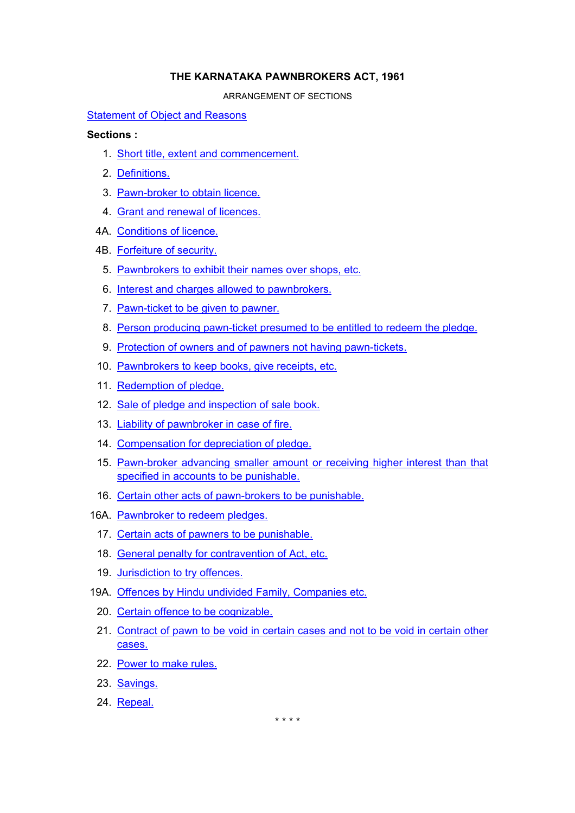# **THE KARNATAKA PAWNBROKERS ACT, 1961**

ARRANGEMENT OF SECTIONS

## [Statement of Object and Reasons](#page-1-0)

# **Sections :**

- 1. [Short title, extent and commencement.](#page-3-0)
- 2. [Definitions.](#page-3-0)
- 3. [Pawn-broker to obtain licence.](#page-5-0)
- 4. [Grant and renewal of licences.](#page-5-0)
- 4A. [Conditions of licence.](#page-6-0)
- 4B. [Forfeiture of security.](#page-7-0)
	- 5. [Pawnbrokers to exhibit their names over shops, etc.](#page-7-0)
	- 6. [Interest and charges allowed to pawnbrokers.](#page-7-0)
	- 7. [Pawn-ticket to be given to pawner.](#page-8-0)
	- 8. [Person producing pawn-ticket presumed to be entitled to redeem the pledge.](#page-8-0)
	- 9. [Protection of owners and of pawners not having pawn-tickets.](#page-8-0)
- 10. [Pawnbrokers to keep books, give receipts, etc.](#page-9-0)
- 11. [Redemption of pledge.](#page-10-0)
- 12. [Sale of pledge and inspection of sale book.](#page-10-0)
- 13. [Liability of pawnbroker in case of fire.](#page-11-0)
- 14. [Compensation for depreciation of pledge.](#page-11-0)
- 15. [Pawn-broker advancing smaller amount or receiving higher interest than that](#page-11-0)  [specified in accounts to be punishable.](#page-11-0)
- 16. [Certain other acts of pawn-brokers to be punishable.](#page-11-0)
- 16A. [Pawnbroker to redeem pledges.](#page-12-0)
	- 17. [Certain acts of pawners to be punishable.](#page-12-0)
	- 18. [General penalty for contravention of Act, etc.](#page-13-0)
	- 19. [Jurisdiction to try offences.](#page-13-0)
- 19A. [Offences by Hindu undivided Family, Companies etc.](#page-13-0)
	- 20. [Certain offence to be cognizable.](#page-14-0)
	- 21. [Contract of pawn to be void in certain cases and not to be void in certain other](#page-14-0)  [cases.](#page-14-0)
	- 22. [Power to make rules.](#page-15-0)
	- 23. [Savings.](#page-15-0)
	- 24. [Repeal.](#page-15-0)

\* \* \* \*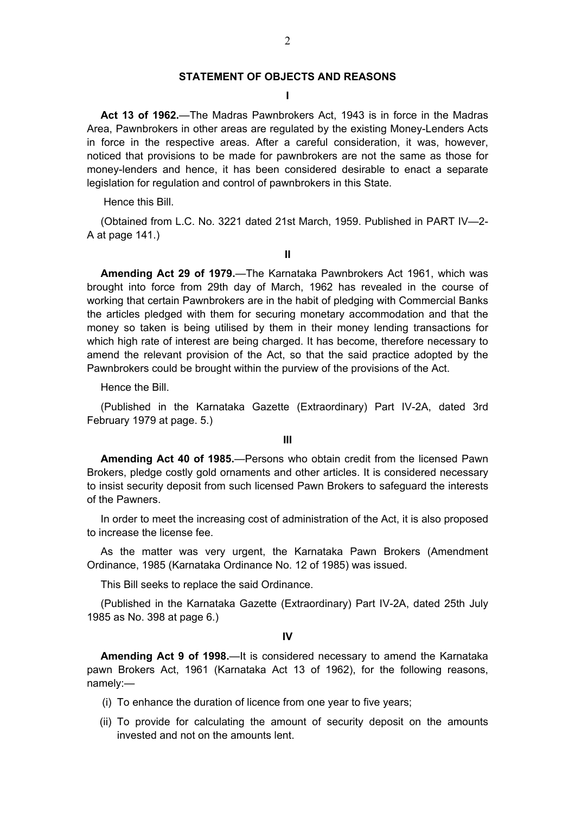### **STATEMENT OF OBJECTS AND REASONS**

### **I**

<span id="page-1-0"></span>**Act 13 of 1962.**—The Madras Pawnbrokers Act, 1943 is in force in the Madras Area, Pawnbrokers in other areas are regulated by the existing Money-Lenders Acts in force in the respective areas. After a careful consideration, it was, however, noticed that provisions to be made for pawnbrokers are not the same as those for money-lenders and hence, it has been considered desirable to enact a separate legislation for regulation and control of pawnbrokers in this State.

Hence this Bill.

(Obtained from L.C. No. 3221 dated 21st March, 1959. Published in PART IV—2- A at page 141.)

**II** 

**Amending Act 29 of 1979.**—The Karnataka Pawnbrokers Act 1961, which was brought into force from 29th day of March, 1962 has revealed in the course of working that certain Pawnbrokers are in the habit of pledging with Commercial Banks the articles pledged with them for securing monetary accommodation and that the money so taken is being utilised by them in their money lending transactions for which high rate of interest are being charged. It has become, therefore necessary to amend the relevant provision of the Act, so that the said practice adopted by the Pawnbrokers could be brought within the purview of the provisions of the Act.

Hence the Bill.

(Published in the Karnataka Gazette (Extraordinary) Part IV-2A, dated 3rd February 1979 at page. 5.)

**III** 

**Amending Act 40 of 1985.**—Persons who obtain credit from the licensed Pawn Brokers, pledge costly gold ornaments and other articles. It is considered necessary to insist security deposit from such licensed Pawn Brokers to safeguard the interests of the Pawners.

In order to meet the increasing cost of administration of the Act, it is also proposed to increase the license fee.

As the matter was very urgent, the Karnataka Pawn Brokers (Amendment Ordinance, 1985 (Karnataka Ordinance No. 12 of 1985) was issued.

This Bill seeks to replace the said Ordinance.

(Published in the Karnataka Gazette (Extraordinary) Part IV-2A, dated 25th July 1985 as No. 398 at page 6.)

**IV** 

**Amending Act 9 of 1998.**—It is considered necessary to amend the Karnataka pawn Brokers Act, 1961 (Karnataka Act 13 of 1962), for the following reasons, namely:—

- (i) To enhance the duration of licence from one year to five years;
- (ii) To provide for calculating the amount of security deposit on the amounts invested and not on the amounts lent.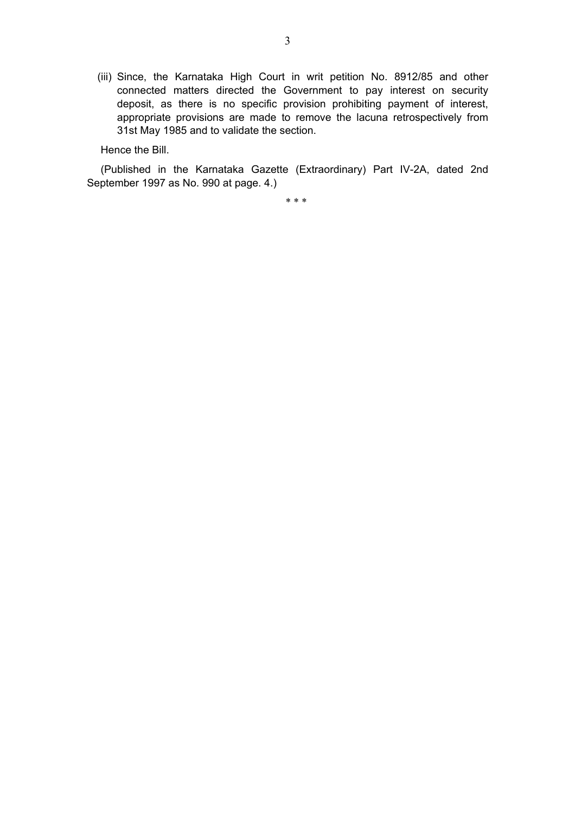(iii) Since, the Karnataka High Court in writ petition No. 8912/85 and other connected matters directed the Government to pay interest on security deposit, as there is no specific provision prohibiting payment of interest, appropriate provisions are made to remove the lacuna retrospectively from 31st May 1985 and to validate the section.

Hence the Bill.

(Published in the Karnataka Gazette (Extraordinary) Part IV-2A, dated 2nd September 1997 as No. 990 at page. 4.)

\* \* \*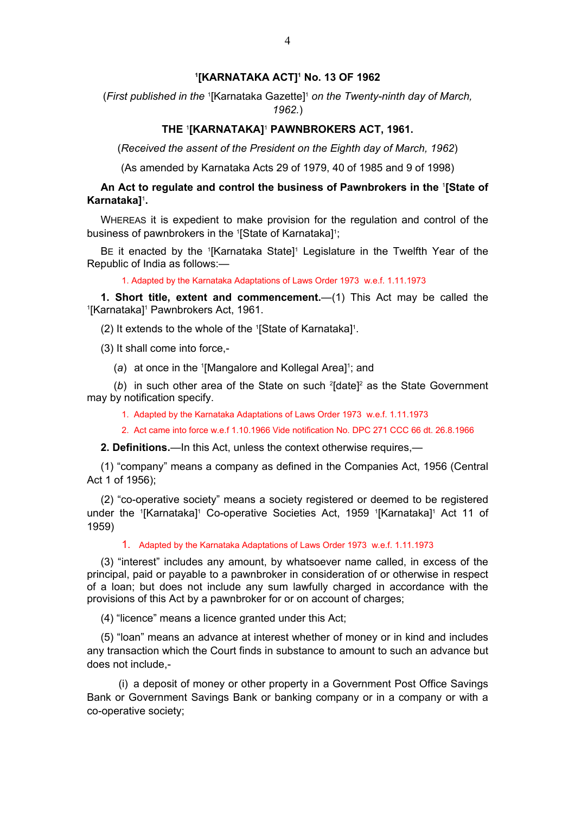## **1 [KARNATAKA ACT]1 No. 13 OF 1962**

<span id="page-3-0"></span>(*First published in the* <sup>1</sup> [Karnataka Gazette]1 *on the Twenty-ninth day of March, 1962.*)

## **THE** <sup>1</sup> **[KARNATAKA]**<sup>1</sup>  **PAWNBROKERS ACT, 1961.**

(*Received the assent of the President on the Eighth day of March, 1962*)

(As amended by Karnataka Acts 29 of 1979, 40 of 1985 and 9 of 1998)

## **An Act to regulate and control the business of Pawnbrokers in the** <sup>1</sup> **[State of Karnataka]**<sup>1</sup> **.**

WHEREAS it is expedient to make provision for the regulation and control of the business of pawnbrokers in the <sup>1</sup>[State of Karnataka]<sup>1</sup>;

BE it enacted by the '[Karnataka State]' Legislature in the Twelfth Year of the Republic of India as follows:—

1. Adapted by the Karnataka Adaptations of Laws Order 1973 w.e.f. 1.11.1973

**1. Short title, extent and commencement.**—(1) This Act may be called the [Karnataka]<sup>1</sup> Pawnbrokers Act, 1961.

(2) It extends to the whole of the 1 [State of Karnataka]1 .

(3) It shall come into force,-

(a) at once in the <sup>1</sup>[Mangalore and Kollegal Area]<sup>1</sup>; and

(b) in such other area of the State on such <sup>2</sup>[date]<sup>2</sup> as the State Government may by notification specify.

- 1. Adapted by the Karnataka Adaptations of Laws Order 1973 w.e.f. 1.11.1973
- 2. Act came into force w.e.f 1.10.1966 Vide notification No. DPC 271 CCC 66 dt. 26.8.1966

**2. Definitions.**—In this Act, unless the context otherwise requires,—

(1) "company" means a company as defined in the Companies Act, 1956 (Central Act 1 of 1956);

(2) "co-operative society" means a society registered or deemed to be registered under the <sup>1</sup>[Karnataka]<sup>1</sup> Co-operative Societies Act, 1959 <sup>1</sup>[Karnataka]<sup>1</sup> Act 11 of 1959)

1. Adapted by the Karnataka Adaptations of Laws Order 1973 w.e.f. 1.11.1973

(3) "interest" includes any amount, by whatsoever name called, in excess of the principal, paid or payable to a pawnbroker in consideration of or otherwise in respect of a loan; but does not include any sum lawfully charged in accordance with the provisions of this Act by a pawnbroker for or on account of charges;

(4) "licence" means a licence granted under this Act;

(5) "loan" means an advance at interest whether of money or in kind and includes any transaction which the Court finds in substance to amount to such an advance but does not include,-

 (i) a deposit of money or other property in a Government Post Office Savings Bank or Government Savings Bank or banking company or in a company or with a co-operative society;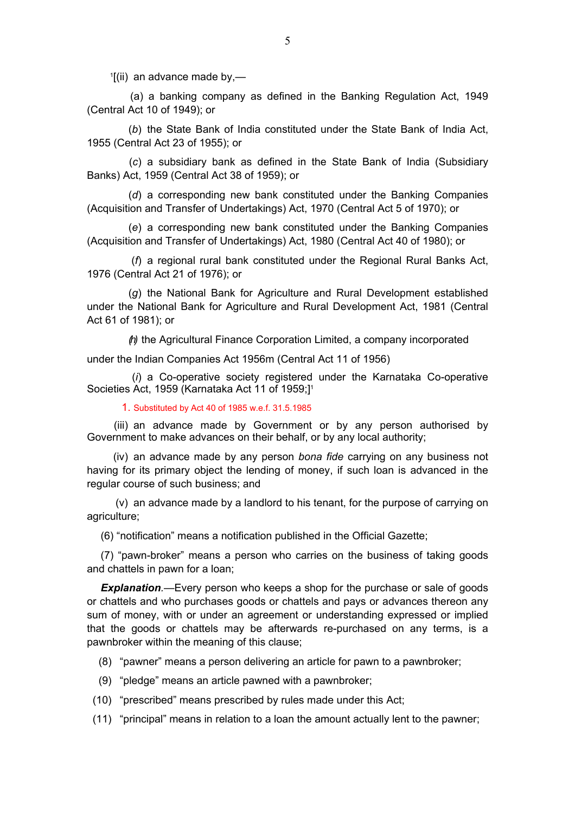$1$ [(ii) an advance made by,—

 (a) a banking company as defined in the Banking Regulation Act, 1949 (Central Act 10 of 1949); or

 (*b*) the State Bank of India constituted under the State Bank of India Act, 1955 (Central Act 23 of 1955); or

 (*c*) a subsidiary bank as defined in the State Bank of India (Subsidiary Banks) Act, 1959 (Central Act 38 of 1959); or

 (*d*) a corresponding new bank constituted under the Banking Companies (Acquisition and Transfer of Undertakings) Act, 1970 (Central Act 5 of 1970); or

 (*e*) a corresponding new bank constituted under the Banking Companies (Acquisition and Transfer of Undertakings) Act, 1980 (Central Act 40 of 1980); or

 (*f*) a regional rural bank constituted under the Regional Rural Banks Act, 1976 (Central Act 21 of 1976); or

 (*g*) the National Bank for Agriculture and Rural Development established under the National Bank for Agriculture and Rural Development Act, 1981 (Central Act 61 of 1981); or

*(h)* the Agricultural Finance Corporation Limited, a company incorporated

under the Indian Companies Act 1956m (Central Act 11 of 1956)

 (*i*) a Co-operative society registered under the Karnataka Co-operative Societies Act, 1959 (Karnataka Act 11 of 1959;]<sup>1</sup>

1. Substituted by Act 40 of 1985 w.e.f. 31.5.1985

 (iii) an advance made by Government or by any person authorised by Government to make advances on their behalf, or by any local authority;

 (iv) an advance made by any person *bona fide* carrying on any business not having for its primary object the lending of money, if such loan is advanced in the regular course of such business; and

 (v) an advance made by a landlord to his tenant, for the purpose of carrying on agriculture;

(6) "notification" means a notification published in the Official Gazette;

(7) "pawn-broker" means a person who carries on the business of taking goods and chattels in pawn for a loan;

*Explanation.*—Every person who keeps a shop for the purchase or sale of goods or chattels and who purchases goods or chattels and pays or advances thereon any sum of money, with or under an agreement or understanding expressed or implied that the goods or chattels may be afterwards re-purchased on any terms, is a pawnbroker within the meaning of this clause;

(8) "pawner" means a person delivering an article for pawn to a pawnbroker;

- (9) "pledge" means an article pawned with a pawnbroker;
- (10) "prescribed" means prescribed by rules made under this Act;

(11) "principal" means in relation to a loan the amount actually lent to the pawner;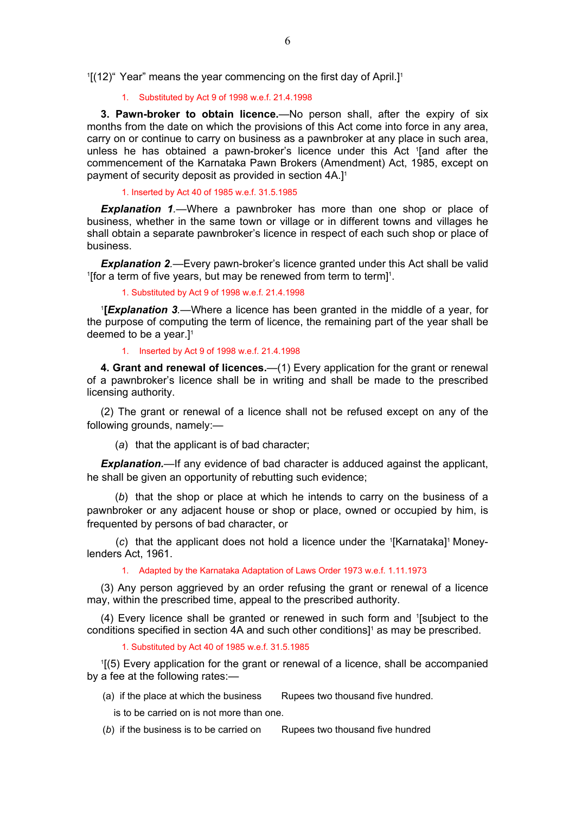<span id="page-5-0"></span>1 [(12)" Year" means the year commencing on the first day of April.]1

#### 1. Substituted by Act 9 of 1998 w.e.f. 21.4.1998

**3. Pawn-broker to obtain licence.**—No person shall, after the expiry of six months from the date on which the provisions of this Act come into force in any area, carry on or continue to carry on business as a pawnbroker at any place in such area, unless he has obtained a pawn-broker's licence under this Act 1 [and after the commencement of the Karnataka Pawn Brokers (Amendment) Act, 1985, except on payment of security deposit as provided in section 4A.]1

#### 1. Inserted by Act 40 of 1985 w.e.f. 31.5.1985

*Explanation 1.*—Where a pawnbroker has more than one shop or place of business, whether in the same town or village or in different towns and villages he shall obtain a separate pawnbroker's licence in respect of each such shop or place of business.

**Explanation 2**.—Every pawn-broker's licence granted under this Act shall be valid [for a term of five years, but may be renewed from term to term] $<sup>1</sup>$ .</sup>

1. Substituted by Act 9 of 1998 w.e.f. 21.4.1998

1 **[***Explanation 3.*—Where a licence has been granted in the middle of a year, for the purpose of computing the term of licence, the remaining part of the year shall be deemed to be a year. $]$ <sup>1</sup>

#### 1. Inserted by Act 9 of 1998 w.e.f. 21.4.1998

**4. Grant and renewal of licences.**—(1) Every application for the grant or renewal of a pawnbroker's licence shall be in writing and shall be made to the prescribed licensing authority.

(2) The grant or renewal of a licence shall not be refused except on any of the following grounds, namely:—

(*a*) that the applicant is of bad character;

**Explanation.**—If any evidence of bad character is adduced against the applicant, he shall be given an opportunity of rebutting such evidence;

 (*b*) that the shop or place at which he intends to carry on the business of a pawnbroker or any adjacent house or shop or place, owned or occupied by him, is frequented by persons of bad character, or

(c) that the applicant does not hold a licence under the <sup>1</sup>[Karnataka]<sup>1</sup> Moneylenders Act, 1961.

1. Adapted by the Karnataka Adaptation of Laws Order 1973 w.e.f. 1.11.1973

(3) Any person aggrieved by an order refusing the grant or renewal of a licence may, within the prescribed time, appeal to the prescribed authority.

(4) Every licence shall be granted or renewed in such form and 1 [subject to the conditions specified in section 4A and such other conditions]<sup>1</sup> as may be prescribed.

1. Substituted by Act 40 of 1985 w.e.f. 31.5.1985

1 [(5) Every application for the grant or renewal of a licence, shall be accompanied by a fee at the following rates:—

- (a) if the place at which the business Rupees two thousand five hundred.
	- is to be carried on is not more than one.
- (b) if the business is to be carried on Rupees two thousand five hundred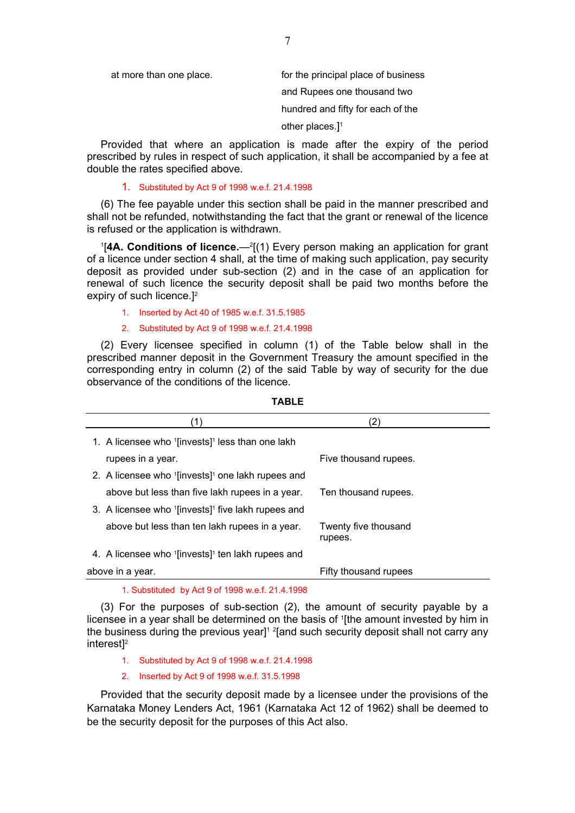<span id="page-6-0"></span>

| at more than one place. | for the principal place of business |
|-------------------------|-------------------------------------|
|                         | and Rupees one thousand two         |
|                         | hundred and fifty for each of the   |
|                         | other places.] $1$                  |

Provided that where an application is made after the expiry of the period prescribed by rules in respect of such application, it shall be accompanied by a fee at double the rates specified above.

### 1. Substituted by Act 9 of 1998 w.e.f. 21.4.1998

(6) The fee payable under this section shall be paid in the manner prescribed and shall not be refunded, notwithstanding the fact that the grant or renewal of the licence is refused or the application is withdrawn.

<sup>1</sup>[4A. Conditions of licence.—<sup>2</sup>[(1) Every person making an application for grant of a licence under section 4 shall, at the time of making such application, pay security deposit as provided under sub-section (2) and in the case of an application for renewal of such licence the security deposit shall be paid two months before the expiry of such licence.]2

1. Inserted by Act 40 of 1985 w.e.f. 31.5.1985

#### 2. Substituted by Act 9 of 1998 w.e.f. 21.4.1998

(2) Every licensee specified in column (1) of the Table below shall in the prescribed manner deposit in the Government Treasury the amount specified in the corresponding entry in column (2) of the said Table by way of security for the due observance of the conditions of the licence.

| 1. A licensee who '[invests]' less than one lakh               |                                 |
|----------------------------------------------------------------|---------------------------------|
| rupees in a year.                                              | Five thousand rupees.           |
| 2. A licensee who '[invests] <sup>1</sup> one lakh rupees and  |                                 |
| above but less than five lakh rupees in a year.                | Ten thousand rupees.            |
| 3. A licensee who '[invests] <sup>1</sup> five lakh rupees and |                                 |
| above but less than ten lakh rupees in a year.                 | Twenty five thousand<br>rupees. |
| 4. A licensee who '[invests]' ten lakh rupees and              |                                 |
| above in a year.                                               | Fifty thousand rupees           |
|                                                                |                                 |

#### **TABLE**

1. Substituted by Act 9 of 1998 w.e.f. 21.4.1998

(3) For the purposes of sub-section (2), the amount of security payable by a licensee in a year shall be determined on the basis of <sup>1</sup>[the amount invested by him in the business during the previous year]<sup>1</sup> <sup>2</sup>[and such security deposit shall not carry any interest<sup>12</sup>

- 1. Substituted by Act 9 of 1998 w.e.f. 21.4.1998
- 2. Inserted by Act 9 of 1998 w.e.f. 31.5.1998

Provided that the security deposit made by a licensee under the provisions of the Karnataka Money Lenders Act, 1961 (Karnataka Act 12 of 1962) shall be deemed to be the security deposit for the purposes of this Act also.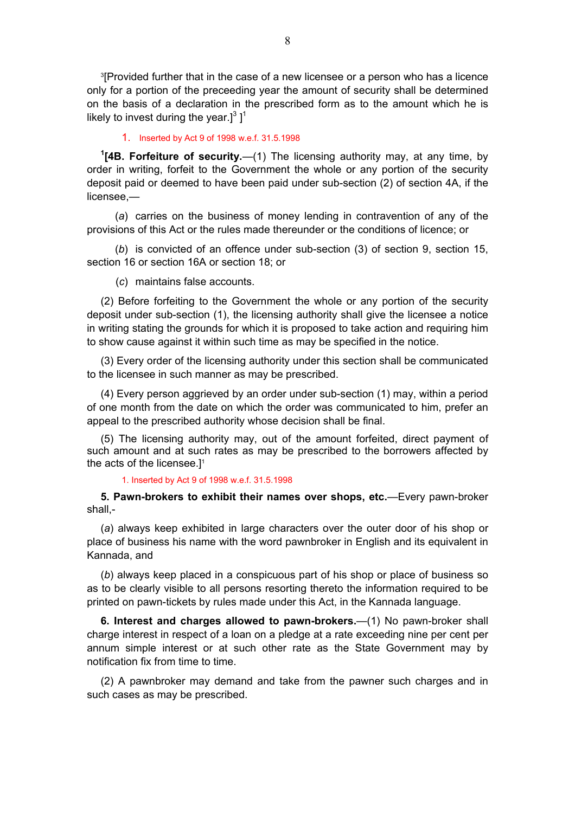<span id="page-7-0"></span>3 [Provided further that in the case of a new licensee or a person who has a licence only for a portion of the preceeding year the amount of security shall be determined on the basis of a declaration in the prescribed form as to the amount which he is likely to invest during the year.]<sup>3</sup>]<sup>1</sup>

### 1. Inserted by Act 9 of 1998 w.e.f. 31.5.1998

**1 [4B. Forfeiture of security.**—(1) The licensing authority may, at any time, by order in writing, forfeit to the Government the whole or any portion of the security deposit paid or deemed to have been paid under sub-section (2) of section 4A, if the licensee,—

 (*a*) carries on the business of money lending in contravention of any of the provisions of this Act or the rules made thereunder or the conditions of licence; or

 (*b*) is convicted of an offence under sub-section (3) of section 9, section 15, section 16 or section 16A or section 18; or

(*c*) maintains false accounts.

(2) Before forfeiting to the Government the whole or any portion of the security deposit under sub-section (1), the licensing authority shall give the licensee a notice in writing stating the grounds for which it is proposed to take action and requiring him to show cause against it within such time as may be specified in the notice.

(3) Every order of the licensing authority under this section shall be communicated to the licensee in such manner as may be prescribed.

(4) Every person aggrieved by an order under sub-section (1) may, within a period of one month from the date on which the order was communicated to him, prefer an appeal to the prescribed authority whose decision shall be final.

(5) The licensing authority may, out of the amount forfeited, direct payment of such amount and at such rates as may be prescribed to the borrowers affected by the acts of the licensee.<sup>11</sup>

#### 1. Inserted by Act 9 of 1998 w.e.f. 31.5.1998

**5. Pawn-brokers to exhibit their names over shops, etc.**—Every pawn-broker shall,-

(*a*) always keep exhibited in large characters over the outer door of his shop or place of business his name with the word pawnbroker in English and its equivalent in Kannada, and

(*b*) always keep placed in a conspicuous part of his shop or place of business so as to be clearly visible to all persons resorting thereto the information required to be printed on pawn-tickets by rules made under this Act, in the Kannada language.

**6. Interest and charges allowed to pawn-brokers.**—(1) No pawn-broker shall charge interest in respect of a loan on a pledge at a rate exceeding nine per cent per annum simple interest or at such other rate as the State Government may by notification fix from time to time.

(2) A pawnbroker may demand and take from the pawner such charges and in such cases as may be prescribed.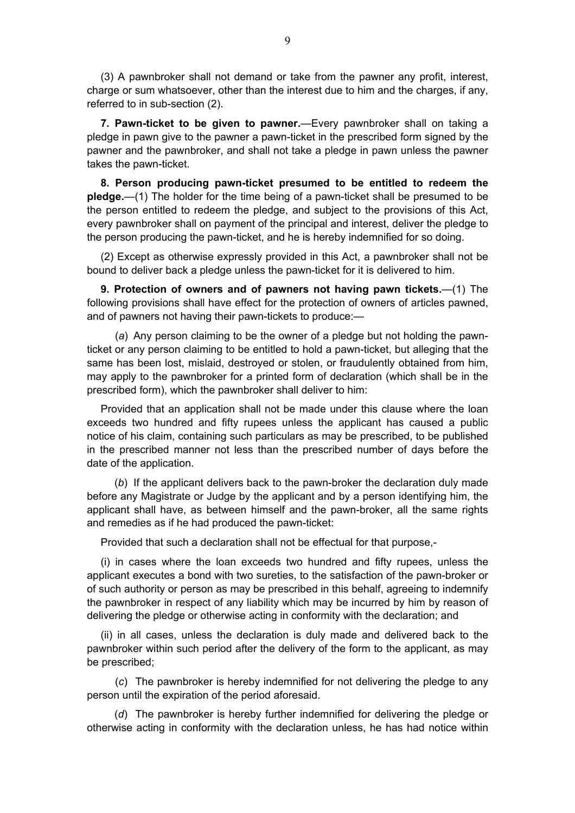<span id="page-8-0"></span>(3) A pawnbroker shall not demand or take from the pawner any profit, interest, charge or sum whatsoever, other than the interest due to him and the charges, if any, referred to in sub-section (2).

**7. Pawn-ticket to be given to pawner.**—Every pawnbroker shall on taking a pledge in pawn give to the pawner a pawn-ticket in the prescribed form signed by the pawner and the pawnbroker, and shall not take a pledge in pawn unless the pawner takes the pawn-ticket.

**8. Person producing pawn-ticket presumed to be entitled to redeem the pledge.**—(1) The holder for the time being of a pawn-ticket shall be presumed to be the person entitled to redeem the pledge, and subject to the provisions of this Act, every pawnbroker shall on payment of the principal and interest, deliver the pledge to the person producing the pawn-ticket, and he is hereby indemnified for so doing.

(2) Except as otherwise expressly provided in this Act, a pawnbroker shall not be bound to deliver back a pledge unless the pawn-ticket for it is delivered to him.

**9. Protection of owners and of pawners not having pawn tickets.**—(1) The following provisions shall have effect for the protection of owners of articles pawned, and of pawners not having their pawn-tickets to produce:—

 (*a*) Any person claiming to be the owner of a pledge but not holding the pawnticket or any person claiming to be entitled to hold a pawn-ticket, but alleging that the same has been lost, mislaid, destroyed or stolen, or fraudulently obtained from him, may apply to the pawnbroker for a printed form of declaration (which shall be in the prescribed form), which the pawnbroker shall deliver to him:

Provided that an application shall not be made under this clause where the loan exceeds two hundred and fifty rupees unless the applicant has caused a public notice of his claim, containing such particulars as may be prescribed, to be published in the prescribed manner not less than the prescribed number of days before the date of the application.

 (*b*) If the applicant delivers back to the pawn-broker the declaration duly made before any Magistrate or Judge by the applicant and by a person identifying him, the applicant shall have, as between himself and the pawn-broker, all the same rights and remedies as if he had produced the pawn-ticket:

Provided that such a declaration shall not be effectual for that purpose,-

(i) in cases where the loan exceeds two hundred and fifty rupees, unless the applicant executes a bond with two sureties, to the satisfaction of the pawn-broker or of such authority or person as may be prescribed in this behalf, agreeing to indemnify the pawnbroker in respect of any liability which may be incurred by him by reason of delivering the pledge or otherwise acting in conformity with the declaration; and

(ii) in all cases, unless the declaration is duly made and delivered back to the pawnbroker within such period after the delivery of the form to the applicant, as may be prescribed;

 (*c*) The pawnbroker is hereby indemnified for not delivering the pledge to any person until the expiration of the period aforesaid.

 (*d*) The pawnbroker is hereby further indemnified for delivering the pledge or otherwise acting in conformity with the declaration unless, he has had notice within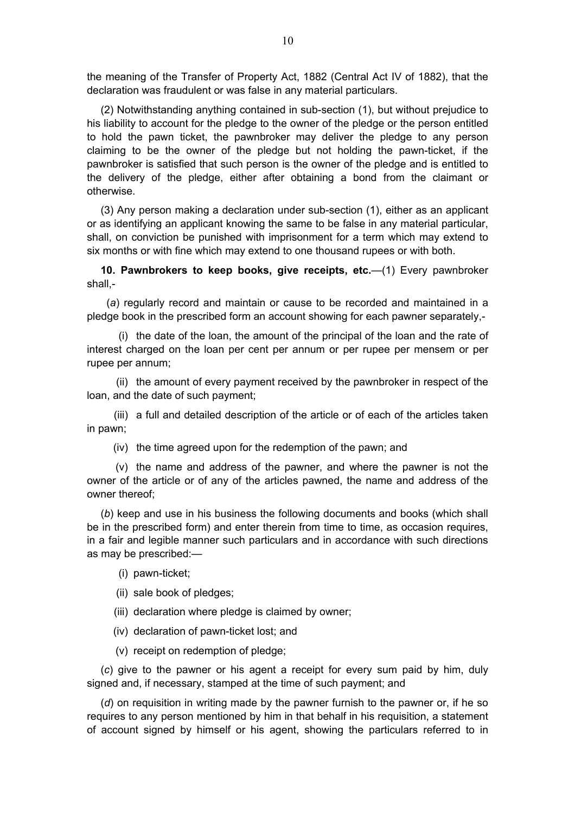<span id="page-9-0"></span>the meaning of the Transfer of Property Act, 1882 (Central Act IV of 1882), that the declaration was fraudulent or was false in any material particulars.

(2) Notwithstanding anything contained in sub-section (1), but without prejudice to his liability to account for the pledge to the owner of the pledge or the person entitled to hold the pawn ticket, the pawnbroker may deliver the pledge to any person claiming to be the owner of the pledge but not holding the pawn-ticket, if the pawnbroker is satisfied that such person is the owner of the pledge and is entitled to the delivery of the pledge, either after obtaining a bond from the claimant or otherwise.

(3) Any person making a declaration under sub-section (1), either as an applicant or as identifying an applicant knowing the same to be false in any material particular, shall, on conviction be punished with imprisonment for a term which may extend to six months or with fine which may extend to one thousand rupees or with both.

**10. Pawnbrokers to keep books, give receipts, etc.**—(1) Every pawnbroker shall,-

 (*a*) regularly record and maintain or cause to be recorded and maintained in a pledge book in the prescribed form an account showing for each pawner separately,-

 (i) the date of the loan, the amount of the principal of the loan and the rate of interest charged on the loan per cent per annum or per rupee per mensem or per rupee per annum;

 (ii) the amount of every payment received by the pawnbroker in respect of the loan, and the date of such payment;

 (iii) a full and detailed description of the article or of each of the articles taken in pawn;

(iv) the time agreed upon for the redemption of the pawn; and

 (v) the name and address of the pawner, and where the pawner is not the owner of the article or of any of the articles pawned, the name and address of the owner thereof;

(*b*) keep and use in his business the following documents and books (which shall be in the prescribed form) and enter therein from time to time, as occasion requires, in a fair and legible manner such particulars and in accordance with such directions as may be prescribed:—

- (i) pawn-ticket;
- (ii) sale book of pledges;
- (iii) declaration where pledge is claimed by owner;
- (iv) declaration of pawn-ticket lost; and
- (v) receipt on redemption of pledge;

(*c*) give to the pawner or his agent a receipt for every sum paid by him, duly signed and, if necessary, stamped at the time of such payment; and

(*d*) on requisition in writing made by the pawner furnish to the pawner or, if he so requires to any person mentioned by him in that behalf in his requisition, a statement of account signed by himself or his agent, showing the particulars referred to in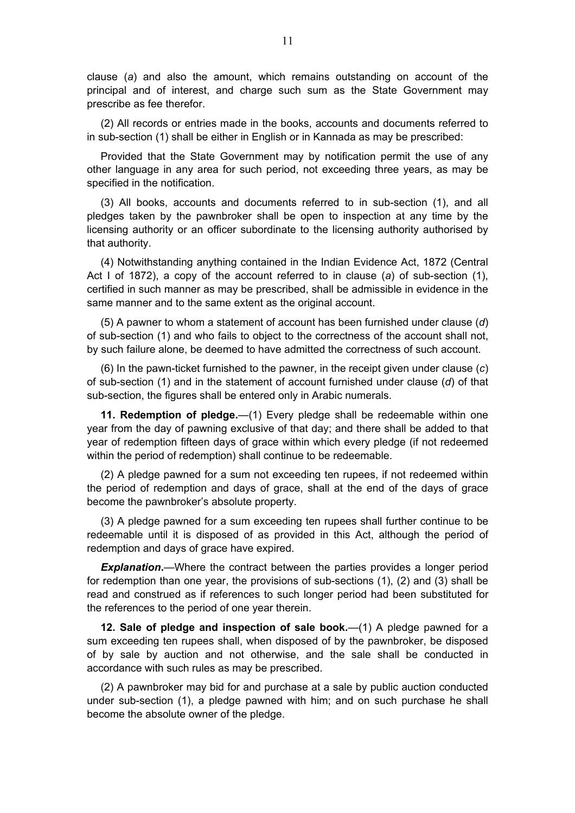<span id="page-10-0"></span>clause (*a*) and also the amount, which remains outstanding on account of the principal and of interest, and charge such sum as the State Government may prescribe as fee therefor.

(2) All records or entries made in the books, accounts and documents referred to in sub-section (1) shall be either in English or in Kannada as may be prescribed:

Provided that the State Government may by notification permit the use of any other language in any area for such period, not exceeding three years, as may be specified in the notification.

(3) All books, accounts and documents referred to in sub-section (1), and all pledges taken by the pawnbroker shall be open to inspection at any time by the licensing authority or an officer subordinate to the licensing authority authorised by that authority.

(4) Notwithstanding anything contained in the Indian Evidence Act, 1872 (Central Act I of 1872), a copy of the account referred to in clause (*a*) of sub-section (1), certified in such manner as may be prescribed, shall be admissible in evidence in the same manner and to the same extent as the original account.

(5) A pawner to whom a statement of account has been furnished under clause (*d*) of sub-section (1) and who fails to object to the correctness of the account shall not, by such failure alone, be deemed to have admitted the correctness of such account.

(6) In the pawn-ticket furnished to the pawner, in the receipt given under clause (*c*) of sub-section (1) and in the statement of account furnished under clause (*d*) of that sub-section, the figures shall be entered only in Arabic numerals.

**11. Redemption of pledge.**—(1) Every pledge shall be redeemable within one year from the day of pawning exclusive of that day; and there shall be added to that year of redemption fifteen days of grace within which every pledge (if not redeemed within the period of redemption) shall continue to be redeemable.

(2) A pledge pawned for a sum not exceeding ten rupees, if not redeemed within the period of redemption and days of grace, shall at the end of the days of grace become the pawnbroker's absolute property.

(3) A pledge pawned for a sum exceeding ten rupees shall further continue to be redeemable until it is disposed of as provided in this Act, although the period of redemption and days of grace have expired.

**Explanation.**—Where the contract between the parties provides a longer period for redemption than one year, the provisions of sub-sections (1), (2) and (3) shall be read and construed as if references to such longer period had been substituted for the references to the period of one year therein.

**12. Sale of pledge and inspection of sale book.**—(1) A pledge pawned for a sum exceeding ten rupees shall, when disposed of by the pawnbroker, be disposed of by sale by auction and not otherwise, and the sale shall be conducted in accordance with such rules as may be prescribed.

(2) A pawnbroker may bid for and purchase at a sale by public auction conducted under sub-section (1), a pledge pawned with him; and on such purchase he shall become the absolute owner of the pledge.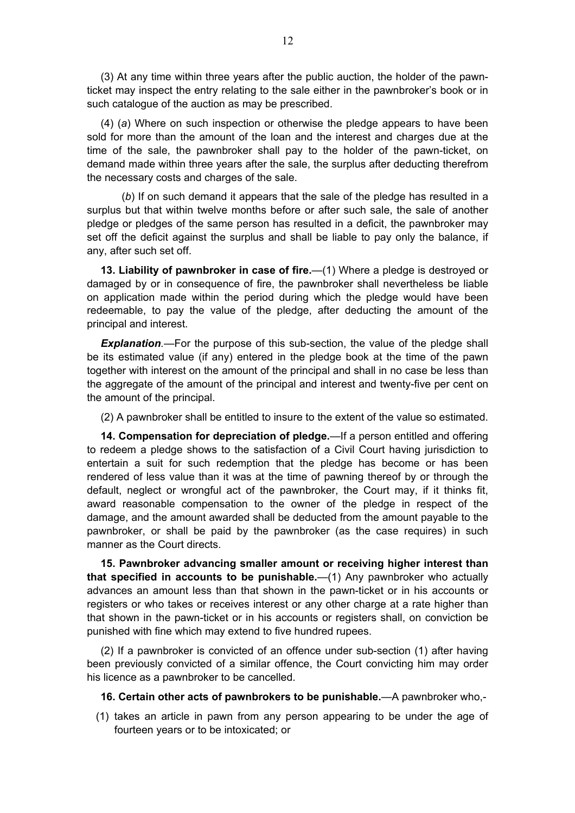<span id="page-11-0"></span>(3) At any time within three years after the public auction, the holder of the pawnticket may inspect the entry relating to the sale either in the pawnbroker's book or in such catalogue of the auction as may be prescribed.

(4) (*a*) Where on such inspection or otherwise the pledge appears to have been sold for more than the amount of the loan and the interest and charges due at the time of the sale, the pawnbroker shall pay to the holder of the pawn-ticket, on demand made within three years after the sale, the surplus after deducting therefrom the necessary costs and charges of the sale.

 (*b*) If on such demand it appears that the sale of the pledge has resulted in a surplus but that within twelve months before or after such sale, the sale of another pledge or pledges of the same person has resulted in a deficit, the pawnbroker may set off the deficit against the surplus and shall be liable to pay only the balance, if any, after such set off.

**13. Liability of pawnbroker in case of fire.**—(1) Where a pledge is destroyed or damaged by or in consequence of fire, the pawnbroker shall nevertheless be liable on application made within the period during which the pledge would have been redeemable, to pay the value of the pledge, after deducting the amount of the principal and interest.

*Explanation.*—For the purpose of this sub-section, the value of the pledge shall be its estimated value (if any) entered in the pledge book at the time of the pawn together with interest on the amount of the principal and shall in no case be less than the aggregate of the amount of the principal and interest and twenty-five per cent on the amount of the principal.

(2) A pawnbroker shall be entitled to insure to the extent of the value so estimated.

**14. Compensation for depreciation of pledge.**—If a person entitled and offering to redeem a pledge shows to the satisfaction of a Civil Court having jurisdiction to entertain a suit for such redemption that the pledge has become or has been rendered of less value than it was at the time of pawning thereof by or through the default, neglect or wrongful act of the pawnbroker, the Court may, if it thinks fit, award reasonable compensation to the owner of the pledge in respect of the damage, and the amount awarded shall be deducted from the amount payable to the pawnbroker, or shall be paid by the pawnbroker (as the case requires) in such manner as the Court directs.

**15. Pawnbroker advancing smaller amount or receiving higher interest than that specified in accounts to be punishable.**—(1) Any pawnbroker who actually advances an amount less than that shown in the pawn-ticket or in his accounts or registers or who takes or receives interest or any other charge at a rate higher than that shown in the pawn-ticket or in his accounts or registers shall, on conviction be punished with fine which may extend to five hundred rupees.

(2) If a pawnbroker is convicted of an offence under sub-section (1) after having been previously convicted of a similar offence, the Court convicting him may order his licence as a pawnbroker to be cancelled.

**16. Certain other acts of pawnbrokers to be punishable.**—A pawnbroker who,-

 (1) takes an article in pawn from any person appearing to be under the age of fourteen years or to be intoxicated; or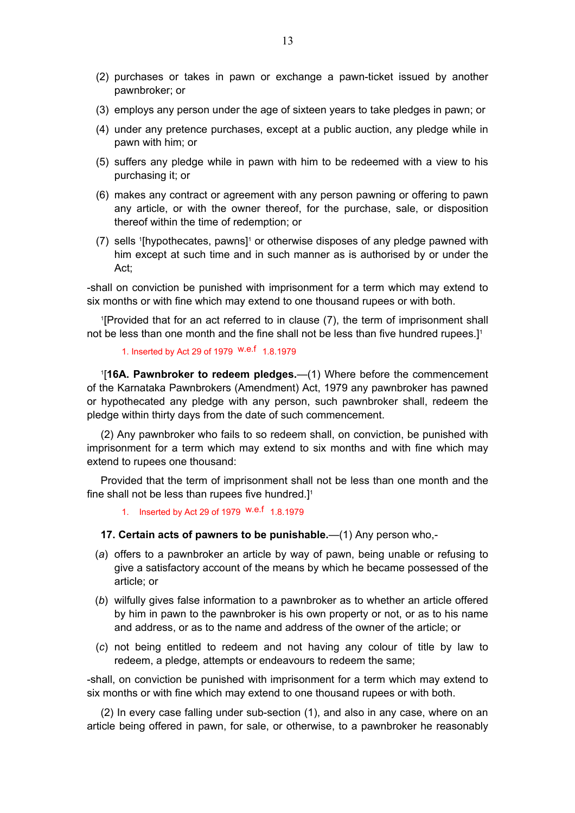- <span id="page-12-0"></span> (2) purchases or takes in pawn or exchange a pawn-ticket issued by another pawnbroker; or
- (3) employs any person under the age of sixteen years to take pledges in pawn; or
- (4) under any pretence purchases, except at a public auction, any pledge while in pawn with him; or
- (5) suffers any pledge while in pawn with him to be redeemed with a view to his purchasing it; or
- (6) makes any contract or agreement with any person pawning or offering to pawn any article, or with the owner thereof, for the purchase, sale, or disposition thereof within the time of redemption; or
- $(7)$  sells <sup>1</sup>[hypothecates, pawns]<sup>1</sup> or otherwise disposes of any pledge pawned with him except at such time and in such manner as is authorised by or under the Act;

-shall on conviction be punished with imprisonment for a term which may extend to six months or with fine which may extend to one thousand rupees or with both.

1 [Provided that for an act referred to in clause (7), the term of imprisonment shall not be less than one month and the fine shall not be less than five hundred rupees.]1

## 1. Inserted by Act 29 of 1979 W.e.f 1.8.1979

1 [**16A. Pawnbroker to redeem pledges.**—(1) Where before the commencement of the Karnataka Pawnbrokers (Amendment) Act, 1979 any pawnbroker has pawned or hypothecated any pledge with any person, such pawnbroker shall, redeem the pledge within thirty days from the date of such commencement.

(2) Any pawnbroker who fails to so redeem shall, on conviction, be punished with imprisonment for a term which may extend to six months and with fine which may extend to rupees one thousand:

Provided that the term of imprisonment shall not be less than one month and the fine shall not be less than rupees five hundred.]<sup>1</sup>

1. Inserted by Act 29 of 1979 w.e.f 1.8.1979

## **17. Certain acts of pawners to be punishable.**—(1) Any person who,-

- (*a*) offers to a pawnbroker an article by way of pawn, being unable or refusing to give a satisfactory account of the means by which he became possessed of the article; or
- (*b*) wilfully gives false information to a pawnbroker as to whether an article offered by him in pawn to the pawnbroker is his own property or not, or as to his name and address, or as to the name and address of the owner of the article; or
- (*c*) not being entitled to redeem and not having any colour of title by law to redeem, a pledge, attempts or endeavours to redeem the same;

-shall, on conviction be punished with imprisonment for a term which may extend to six months or with fine which may extend to one thousand rupees or with both.

(2) In every case falling under sub-section (1), and also in any case, where on an article being offered in pawn, for sale, or otherwise, to a pawnbroker he reasonably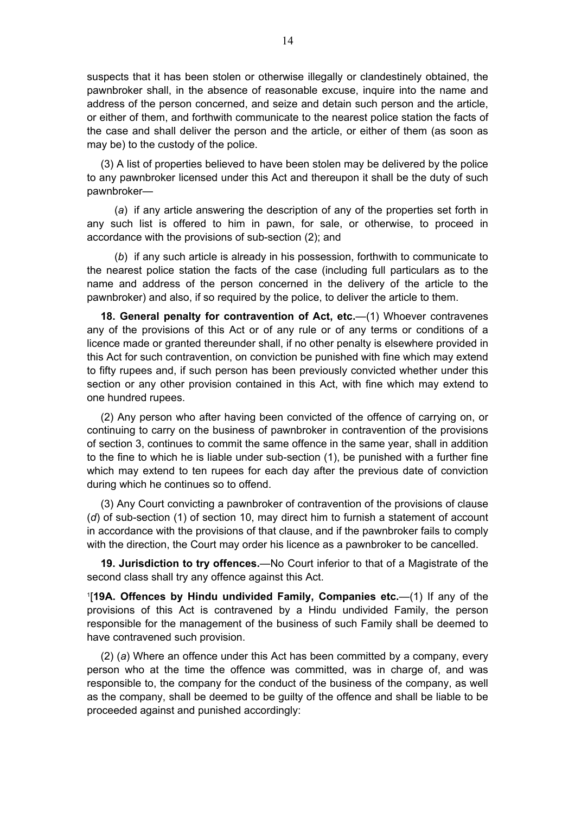<span id="page-13-0"></span>suspects that it has been stolen or otherwise illegally or clandestinely obtained, the pawnbroker shall, in the absence of reasonable excuse, inquire into the name and address of the person concerned, and seize and detain such person and the article, or either of them, and forthwith communicate to the nearest police station the facts of the case and shall deliver the person and the article, or either of them (as soon as may be) to the custody of the police.

(3) A list of properties believed to have been stolen may be delivered by the police to any pawnbroker licensed under this Act and thereupon it shall be the duty of such pawnbroker—

 (*a*) if any article answering the description of any of the properties set forth in any such list is offered to him in pawn, for sale, or otherwise, to proceed in accordance with the provisions of sub-section (2); and

 (*b*) if any such article is already in his possession, forthwith to communicate to the nearest police station the facts of the case (including full particulars as to the name and address of the person concerned in the delivery of the article to the pawnbroker) and also, if so required by the police, to deliver the article to them.

**18. General penalty for contravention of Act, etc.**—(1) Whoever contravenes any of the provisions of this Act or of any rule or of any terms or conditions of a licence made or granted thereunder shall, if no other penalty is elsewhere provided in this Act for such contravention, on conviction be punished with fine which may extend to fifty rupees and, if such person has been previously convicted whether under this section or any other provision contained in this Act, with fine which may extend to one hundred rupees.

(2) Any person who after having been convicted of the offence of carrying on, or continuing to carry on the business of pawnbroker in contravention of the provisions of section 3, continues to commit the same offence in the same year, shall in addition to the fine to which he is liable under sub-section (1), be punished with a further fine which may extend to ten rupees for each day after the previous date of conviction during which he continues so to offend.

(3) Any Court convicting a pawnbroker of contravention of the provisions of clause (*d*) of sub-section (1) of section 10, may direct him to furnish a statement of account in accordance with the provisions of that clause, and if the pawnbroker fails to comply with the direction, the Court may order his licence as a pawnbroker to be cancelled.

**19. Jurisdiction to try offences.**—No Court inferior to that of a Magistrate of the second class shall try any offence against this Act.

1 [**19A. Offences by Hindu undivided Family, Companies etc.**—(1) If any of the provisions of this Act is contravened by a Hindu undivided Family, the person responsible for the management of the business of such Family shall be deemed to have contravened such provision.

(2) (*a*) Where an offence under this Act has been committed by a company, every person who at the time the offence was committed, was in charge of, and was responsible to, the company for the conduct of the business of the company, as well as the company, shall be deemed to be guilty of the offence and shall be liable to be proceeded against and punished accordingly: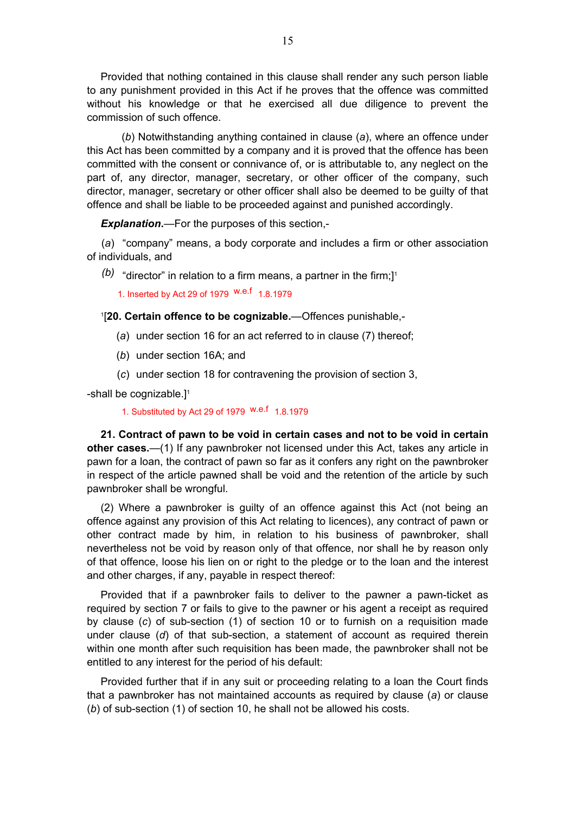<span id="page-14-0"></span>Provided that nothing contained in this clause shall render any such person liable to any punishment provided in this Act if he proves that the offence was committed without his knowledge or that he exercised all due diligence to prevent the commission of such offence.

 (*b*) Notwithstanding anything contained in clause (*a*), where an offence under this Act has been committed by a company and it is proved that the offence has been committed with the consent or connivance of, or is attributable to, any neglect on the part of, any director, manager, secretary, or other officer of the company, such director, manager, secretary or other officer shall also be deemed to be guilty of that offence and shall be liable to be proceeded against and punished accordingly.

*Explanation***.**—For the purposes of this section,-

 (*a*) "company" means, a body corporate and includes a firm or other association of individuals, and

 $(b)$  "director" in relation to a firm means, a partner in the firm;]<sup>1</sup>

1. Inserted by Act 29 of 1979 w.e.f 1.8.1979

1 [**20. Certain offence to be cognizable.**—Offences punishable,-

- (*a*) under section 16 for an act referred to in clause (7) thereof;
- (*b*) under section 16A; and
- (*c*) under section 18 for contravening the provision of section 3,

-shall be cognizable.]<sup>1</sup>

1. Substituted by Act 29 of 1979 w.e.f 1.8.1979

**21. Contract of pawn to be void in certain cases and not to be void in certain other cases.**—(1) If any pawnbroker not licensed under this Act, takes any article in pawn for a loan, the contract of pawn so far as it confers any right on the pawnbroker in respect of the article pawned shall be void and the retention of the article by such pawnbroker shall be wrongful.

(2) Where a pawnbroker is guilty of an offence against this Act (not being an offence against any provision of this Act relating to licences), any contract of pawn or other contract made by him, in relation to his business of pawnbroker, shall nevertheless not be void by reason only of that offence, nor shall he by reason only of that offence, loose his lien on or right to the pledge or to the loan and the interest and other charges, if any, payable in respect thereof:

Provided that if a pawnbroker fails to deliver to the pawner a pawn-ticket as required by section 7 or fails to give to the pawner or his agent a receipt as required by clause (*c*) of sub-section (1) of section 10 or to furnish on a requisition made under clause (*d*) of that sub-section, a statement of account as required therein within one month after such requisition has been made, the pawnbroker shall not be entitled to any interest for the period of his default:

Provided further that if in any suit or proceeding relating to a loan the Court finds that a pawnbroker has not maintained accounts as required by clause (*a*) or clause (*b*) of sub-section (1) of section 10, he shall not be allowed his costs.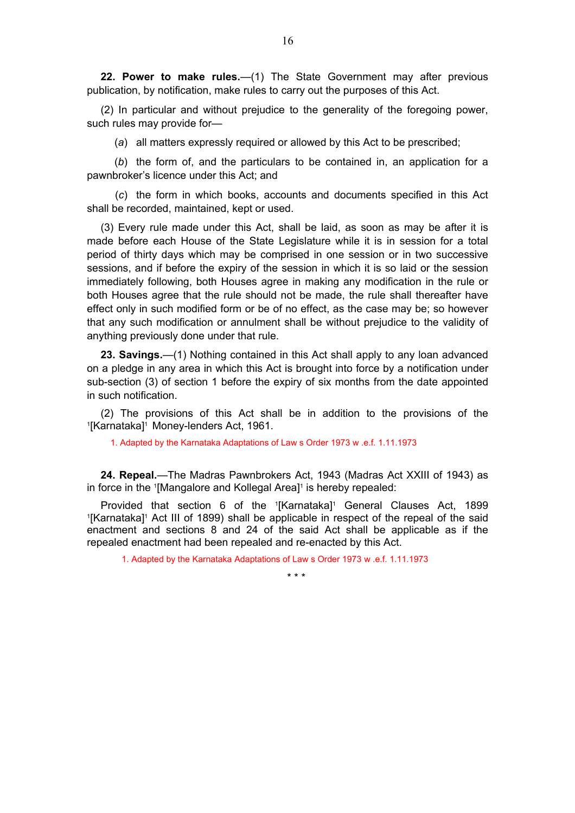<span id="page-15-0"></span>**22. Power to make rules.**—(1) The State Government may after previous publication, by notification, make rules to carry out the purposes of this Act.

(2) In particular and without prejudice to the generality of the foregoing power, such rules may provide for—

(*a*) all matters expressly required or allowed by this Act to be prescribed;

 (*b*) the form of, and the particulars to be contained in, an application for a pawnbroker's licence under this Act; and

 (*c*) the form in which books, accounts and documents specified in this Act shall be recorded, maintained, kept or used.

(3) Every rule made under this Act, shall be laid, as soon as may be after it is made before each House of the State Legislature while it is in session for a total period of thirty days which may be comprised in one session or in two successive sessions, and if before the expiry of the session in which it is so laid or the session immediately following, both Houses agree in making any modification in the rule or both Houses agree that the rule should not be made, the rule shall thereafter have effect only in such modified form or be of no effect, as the case may be; so however that any such modification or annulment shall be without prejudice to the validity of anything previously done under that rule.

**23. Savings.**—(1) Nothing contained in this Act shall apply to any loan advanced on a pledge in any area in which this Act is brought into force by a notification under sub-section (3) of section 1 before the expiry of six months from the date appointed in such notification.

(2) The provisions of this Act shall be in addition to the provisions of the 1 <sup>1</sup>[Karnataka]<sup>1</sup> Money-lenders Act, 1961.

1. Adapted by the Karnataka Adaptations of Law s Order 1973 w .e.f. 1.11.1973

**24. Repeal.**—The Madras Pawnbrokers Act, 1943 (Madras Act XXIII of 1943) as in force in the <sup>1</sup>[Mangalore and Kollegal Area]<sup>1</sup> is hereby repealed:

Provided that section 6 of the '[Karnataka]' General Clauses Act, 1899<br>IKarnatakal' Act III of 1899 shall be applicable in respect of the repeal of the said [Karnataka]<sup>1</sup> Act III of 1899) shall be applicable in respect of the repeal of the said enactment and sections 8 and 24 of the said Act shall be applicable as if the repealed enactment had been repealed and re-enacted by this Act.

1. Adapted by the Karnataka Adaptations of Law s Order 1973 w .e.f. 1.11.1973

\* \* \*